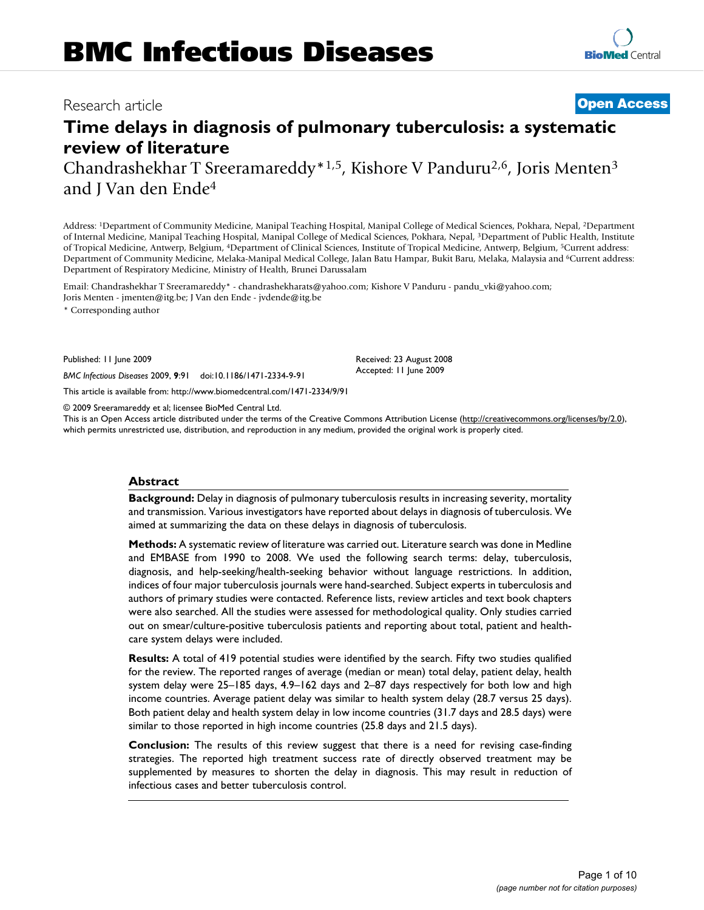# Research article **[Open Access](http://www.biomedcentral.com/info/about/charter/)**

# **Time delays in diagnosis of pulmonary tuberculosis: a systematic review of literature**

Chandrashekhar T Sreeramareddy\*1,5, Kishore V Panduru<sup>2,6</sup>, Joris Menten<sup>3</sup> and J Van den Ende4

Address: 1Department of Community Medicine, Manipal Teaching Hospital, Manipal College of Medical Sciences, Pokhara, Nepal, 2Department of Internal Medicine, Manipal Teaching Hospital, Manipal College of Medical Sciences, Pokhara, Nepal, 3Department of Public Health, Institute of Tropical Medicine, Antwerp, Belgium, 4Department of Clinical Sciences, Institute of Tropical Medicine, Antwerp, Belgium, 5Current address: Department of Community Medicine, Melaka-Manipal Medical College, Jalan Batu Hampar, Bukit Baru, Melaka, Malaysia and <sup>6</sup>Current address: Department of Respiratory Medicine, Ministry of Health, Brunei Darussalam

Email: Chandrashekhar T Sreeramareddy\* - chandrashekharats@yahoo.com; Kishore V Panduru - pandu\_vki@yahoo.com; Joris Menten - jmenten@itg.be; J Van den Ende - jvdende@itg.be

\* Corresponding author

Published: 11 June 2009

*BMC Infectious Diseases* 2009, **9**:91 doi:10.1186/1471-2334-9-91

[This article is available from: http://www.biomedcentral.com/1471-2334/9/91](http://www.biomedcentral.com/1471-2334/9/91)

© 2009 Sreeramareddy et al; licensee BioMed Central Ltd.

This is an Open Access article distributed under the terms of the Creative Commons Attribution License [\(http://creativecommons.org/licenses/by/2.0\)](http://creativecommons.org/licenses/by/2.0), which permits unrestricted use, distribution, and reproduction in any medium, provided the original work is properly cited.

Received: 23 August 2008 Accepted: 11 June 2009

#### **Abstract**

**Background:** Delay in diagnosis of pulmonary tuberculosis results in increasing severity, mortality and transmission. Various investigators have reported about delays in diagnosis of tuberculosis. We aimed at summarizing the data on these delays in diagnosis of tuberculosis.

**Methods:** A systematic review of literature was carried out. Literature search was done in Medline and EMBASE from 1990 to 2008. We used the following search terms: delay, tuberculosis, diagnosis, and help-seeking/health-seeking behavior without language restrictions. In addition, indices of four major tuberculosis journals were hand-searched. Subject experts in tuberculosis and authors of primary studies were contacted. Reference lists, review articles and text book chapters were also searched. All the studies were assessed for methodological quality. Only studies carried out on smear/culture-positive tuberculosis patients and reporting about total, patient and healthcare system delays were included.

**Results:** A total of 419 potential studies were identified by the search. Fifty two studies qualified for the review. The reported ranges of average (median or mean) total delay, patient delay, health system delay were 25–185 days, 4.9–162 days and 2–87 days respectively for both low and high income countries. Average patient delay was similar to health system delay (28.7 versus 25 days). Both patient delay and health system delay in low income countries (31.7 days and 28.5 days) were similar to those reported in high income countries (25.8 days and 21.5 days).

**Conclusion:** The results of this review suggest that there is a need for revising case-finding strategies. The reported high treatment success rate of directly observed treatment may be supplemented by measures to shorten the delay in diagnosis. This may result in reduction of infectious cases and better tuberculosis control.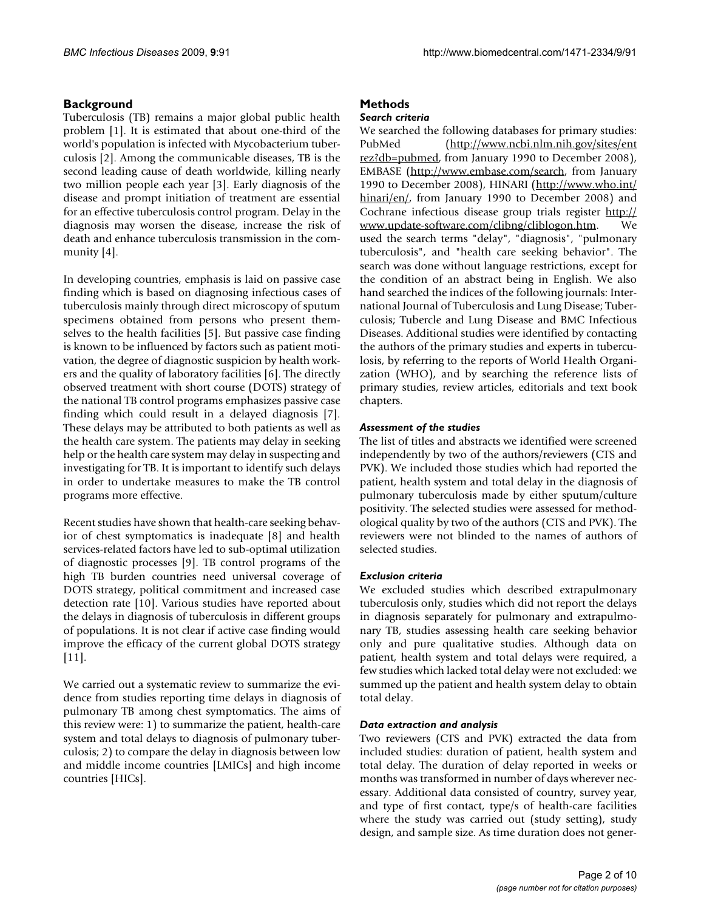# **Background**

Tuberculosis (TB) remains a major global public health problem [1]. It is estimated that about one-third of the world's population is infected with Mycobacterium tuberculosis [2]. Among the communicable diseases, TB is the second leading cause of death worldwide, killing nearly two million people each year [3]. Early diagnosis of the disease and prompt initiation of treatment are essential for an effective tuberculosis control program. Delay in the diagnosis may worsen the disease, increase the risk of death and enhance tuberculosis transmission in the community [4].

In developing countries, emphasis is laid on passive case finding which is based on diagnosing infectious cases of tuberculosis mainly through direct microscopy of sputum specimens obtained from persons who present themselves to the health facilities [5]. But passive case finding is known to be influenced by factors such as patient motivation, the degree of diagnostic suspicion by health workers and the quality of laboratory facilities [6]. The directly observed treatment with short course (DOTS) strategy of the national TB control programs emphasizes passive case finding which could result in a delayed diagnosis [7]. These delays may be attributed to both patients as well as the health care system. The patients may delay in seeking help or the health care system may delay in suspecting and investigating for TB. It is important to identify such delays in order to undertake measures to make the TB control programs more effective.

Recent studies have shown that health-care seeking behavior of chest symptomatics is inadequate [8] and health services-related factors have led to sub-optimal utilization of diagnostic processes [9]. TB control programs of the high TB burden countries need universal coverage of DOTS strategy, political commitment and increased case detection rate [10]. Various studies have reported about the delays in diagnosis of tuberculosis in different groups of populations. It is not clear if active case finding would improve the efficacy of the current global DOTS strategy  $[11]$ .

We carried out a systematic review to summarize the evidence from studies reporting time delays in diagnosis of pulmonary TB among chest symptomatics. The aims of this review were: 1) to summarize the patient, health-care system and total delays to diagnosis of pulmonary tuberculosis; 2) to compare the delay in diagnosis between low and middle income countries [LMICs] and high income countries [HICs].

# **Methods**

#### *Search criteria*

We searched the following databases for primary studies: PubMed [\(http://www.ncbi.nlm.nih.gov/sites/ent](http://www.ncbi.nlm.nih.gov/sites/entrez?db=pubmed) [rez?db=pubmed,](http://www.ncbi.nlm.nih.gov/sites/entrez?db=pubmed) from January 1990 to December 2008), EMBASE [\(http://www.embase.com/search](http://www.embase.com/search), from January 1990 to December 2008), HINARI [\(http://www.who.int/](http://www.who.int/hinari/en/) [hinari/en/,](http://www.who.int/hinari/en/) from January 1990 to December 2008) and Cochrane infectious disease group trials register [http://](http://www.update-software.com/clibng/cliblogon.htm) [www.update-software.com/clibng/cliblogon.htm.](http://www.update-software.com/clibng/cliblogon.htm) We used the search terms "delay", "diagnosis", "pulmonary tuberculosis", and "health care seeking behavior". The search was done without language restrictions, except for the condition of an abstract being in English. We also hand searched the indices of the following journals: International Journal of Tuberculosis and Lung Disease; Tuberculosis; Tubercle and Lung Disease and BMC Infectious Diseases. Additional studies were identified by contacting the authors of the primary studies and experts in tuberculosis, by referring to the reports of World Health Organization (WHO), and by searching the reference lists of primary studies, review articles, editorials and text book chapters.

## *Assessment of the studies*

The list of titles and abstracts we identified were screened independently by two of the authors/reviewers (CTS and PVK). We included those studies which had reported the patient, health system and total delay in the diagnosis of pulmonary tuberculosis made by either sputum/culture positivity. The selected studies were assessed for methodological quality by two of the authors (CTS and PVK). The reviewers were not blinded to the names of authors of selected studies.

## *Exclusion criteria*

We excluded studies which described extrapulmonary tuberculosis only, studies which did not report the delays in diagnosis separately for pulmonary and extrapulmonary TB, studies assessing health care seeking behavior only and pure qualitative studies. Although data on patient, health system and total delays were required, a few studies which lacked total delay were not excluded: we summed up the patient and health system delay to obtain total delay.

#### *Data extraction and analysis*

Two reviewers (CTS and PVK) extracted the data from included studies: duration of patient, health system and total delay. The duration of delay reported in weeks or months was transformed in number of days wherever necessary. Additional data consisted of country, survey year, and type of first contact, type/s of health-care facilities where the study was carried out (study setting), study design, and sample size. As time duration does not gener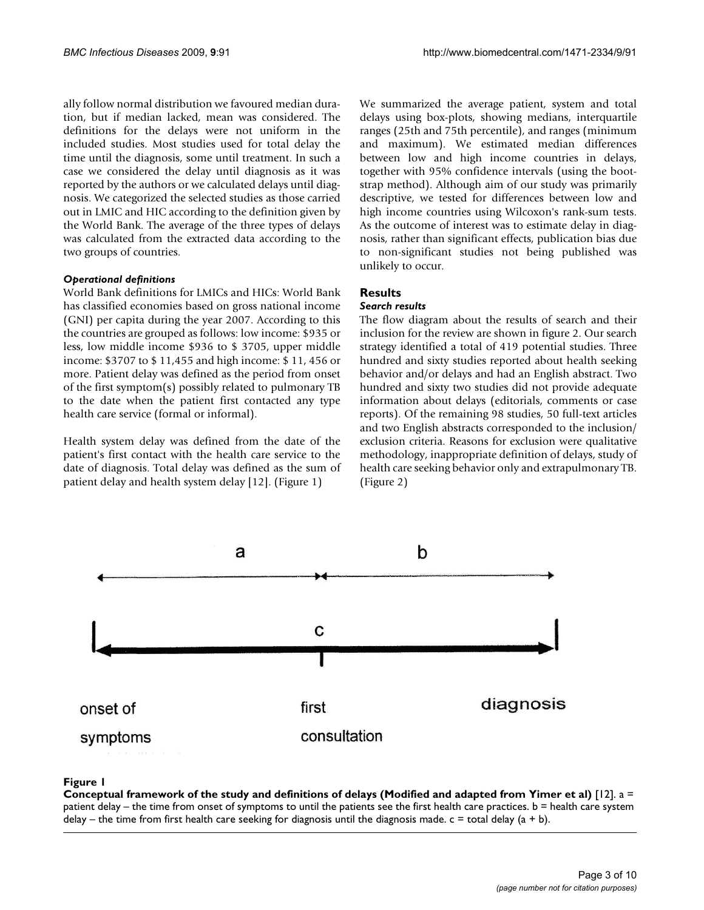ally follow normal distribution we favoured median duration, but if median lacked, mean was considered. The definitions for the delays were not uniform in the included studies. Most studies used for total delay the time until the diagnosis, some until treatment. In such a case we considered the delay until diagnosis as it was reported by the authors or we calculated delays until diagnosis. We categorized the selected studies as those carried out in LMIC and HIC according to the definition given by the World Bank. The average of the three types of delays was calculated from the extracted data according to the two groups of countries.

#### *Operational definitions*

World Bank definitions for LMICs and HICs: World Bank has classified economies based on gross national income (GNI) per capita during the year 2007. According to this the countries are grouped as follows: low income: \$935 or less, low middle income \$936 to \$ 3705, upper middle income: \$3707 to \$ 11,455 and high income: \$ 11, 456 or more. Patient delay was defined as the period from onset of the first symptom(s) possibly related to pulmonary TB to the date when the patient first contacted any type health care service (formal or informal).

Health system delay was defined from the date of the patient's first contact with the health care service to the date of diagnosis. Total delay was defined as the sum of patient delay and health system delay [12]. (Figure 1)

We summarized the average patient, system and total delays using box-plots, showing medians, interquartile ranges (25th and 75th percentile), and ranges (minimum and maximum). We estimated median differences between low and high income countries in delays, together with 95% confidence intervals (using the bootstrap method). Although aim of our study was primarily descriptive, we tested for differences between low and high income countries using Wilcoxon's rank-sum tests. As the outcome of interest was to estimate delay in diagnosis, rather than significant effects, publication bias due to non-significant studies not being published was unlikely to occur.

# **Results**

## *Search results*

The flow diagram about the results of search and their inclusion for the review are shown in figure 2. Our search strategy identified a total of 419 potential studies. Three hundred and sixty studies reported about health seeking behavior and/or delays and had an English abstract. Two hundred and sixty two studies did not provide adequate information about delays (editorials, comments or case reports). Of the remaining 98 studies, 50 full-text articles and two English abstracts corresponded to the inclusion/ exclusion criteria. Reasons for exclusion were qualitative methodology, inappropriate definition of delays, study of health care seeking behavior only and extrapulmonary TB. (Figure 2)



#### Conceptual framework of the study and definitions of **Figure 1** delays (Modified and adapted from Yimer et al) [12]

**Conceptual framework of the study and definitions of delays (Modified and adapted from Yimer et al)** [12]. a = patient delay – the time from onset of symptoms to until the patients see the first health care practices. b = health care system delay – the time from first health care seeking for diagnosis until the diagnosis made.  $c =$  total delay (a + b).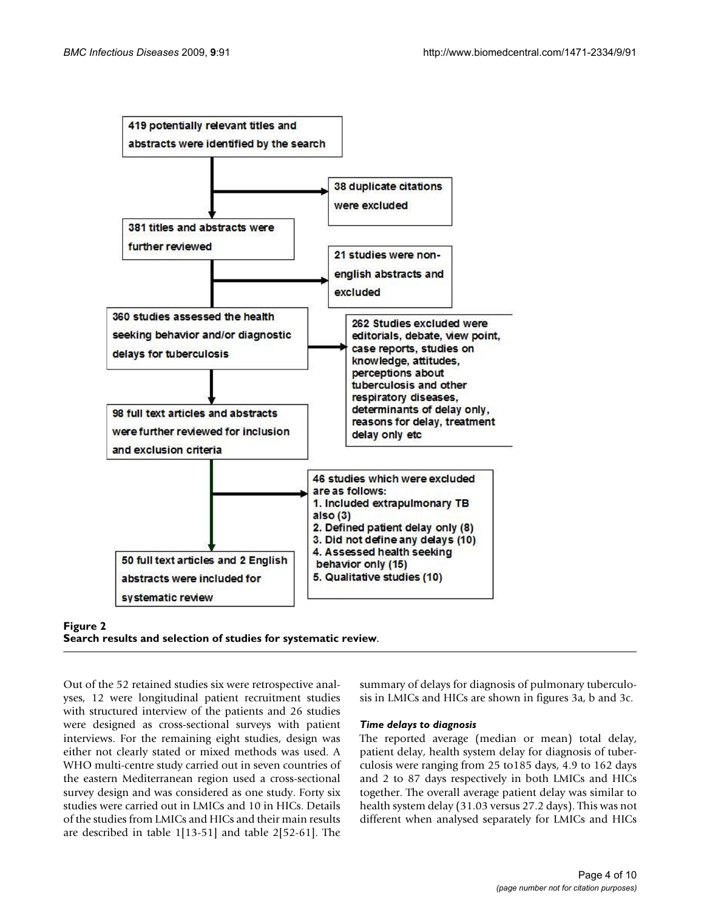

**Figure 2 Search results and selection of studies for systematic review**.

Out of the 52 retained studies six were retrospective analyses, 12 were longitudinal patient recruitment studies with structured interview of the patients and 26 studies were designed as cross-sectional surveys with patient interviews. For the remaining eight studies, design was either not clearly stated or mixed methods was used. A WHO multi-centre study carried out in seven countries of the eastern Mediterranean region used a cross-sectional survey design and was considered as one study. Forty six studies were carried out in LMICs and 10 in HICs. Details of the studies from LMICs and HICs and their main results are described in table 1[13-51] and table 2[52-61]. The

summary of delays for diagnosis of pulmonary tuberculosis in LMICs and HICs are shown in figures 3a, b and 3c.

#### *Time delays to diagnosis*

The reported average (median or mean) total delay, patient delay, health system delay for diagnosis of tuberculosis were ranging from 25 to185 days, 4.9 to 162 days and 2 to 87 days respectively in both LMICs and HICs together. The overall average patient delay was similar to health system delay (31.03 versus 27.2 days). This was not different when analysed separately for LMICs and HICs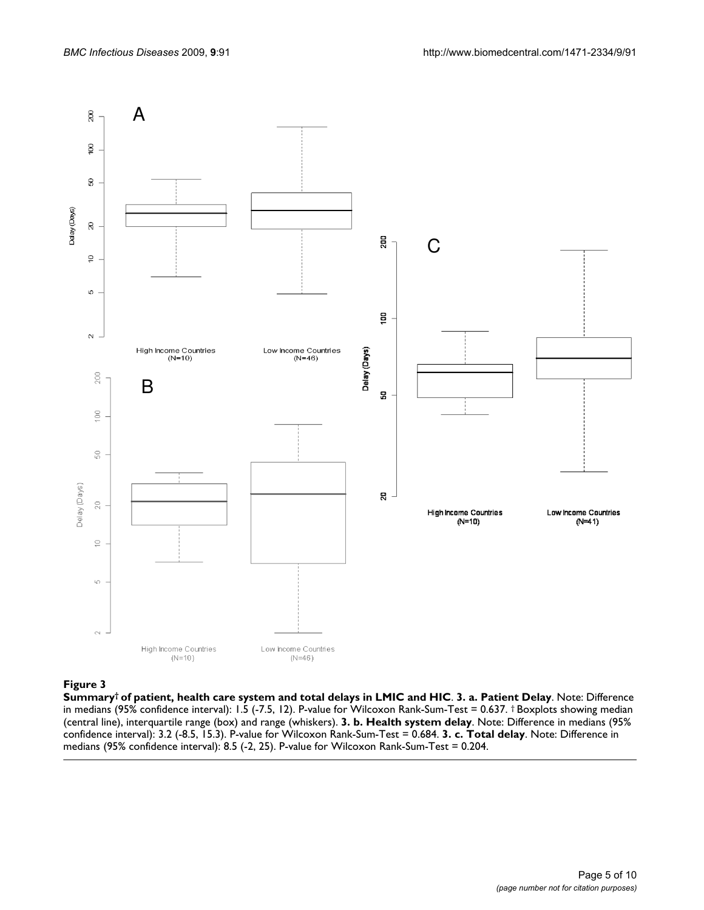

#### **Figure 3**

**Summary† of patient, health care system and total delays in LMIC and HIC**. **3. a. Patient Delay**. Note: Difference in medians (95% confidence interval): 1.5 (-7.5, 12). P-value for Wilcoxon Rank-Sum-Test = 0.637. † Boxplots showing median (central line), interquartile range (box) and range (whiskers). **3. b. Health system delay**. Note: Difference in medians (95% confidence interval): 3.2 (-8.5, 15.3). P-value for Wilcoxon Rank-Sum-Test = 0.684. **3. c. Total delay**. Note: Difference in medians (95% confidence interval): 8.5 (-2, 25). P-value for Wilcoxon Rank-Sum-Test = 0.204.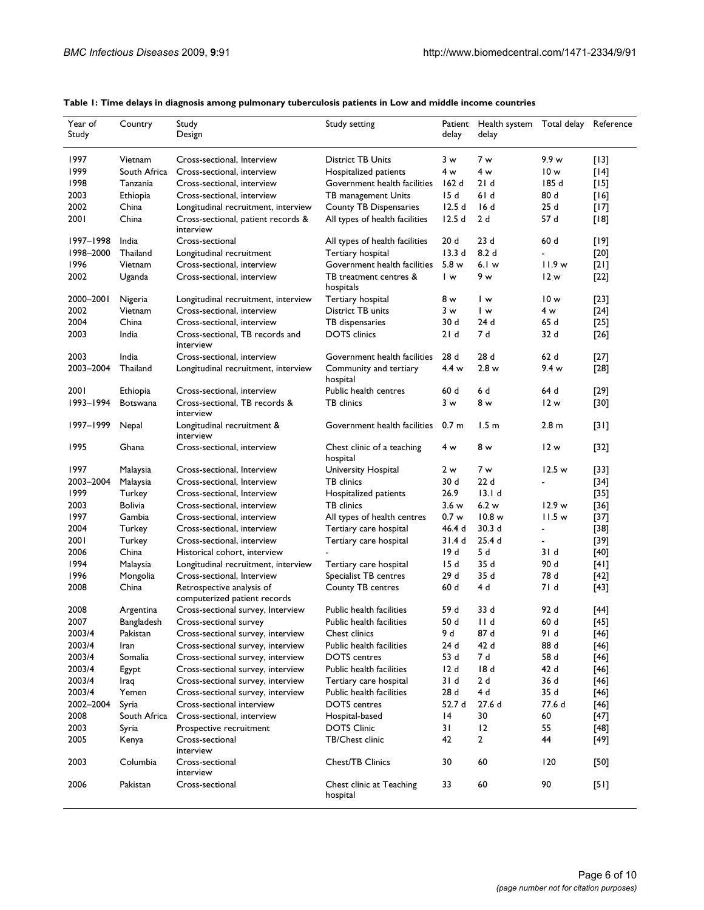| Year of<br>Study | Country         | Study<br>Design                                           | Study setting                          | Patient<br>delay | Health system<br>delay | Total delay    | Reference |
|------------------|-----------------|-----------------------------------------------------------|----------------------------------------|------------------|------------------------|----------------|-----------|
| 1997             | Vietnam         | Cross-sectional, Interview                                | <b>District TB Units</b>               | 3 w              | 7 w                    | 9.9 w          | [13]      |
| 1999             | South Africa    | Cross-sectional, interview                                | Hospitalized patients                  | 4 w              | 4 w                    | 10 w           | [14]      |
| 1998             | Tanzania        | Cross-sectional, interview                                | Government health facilities           | 162 d            | 21d                    | 185 d          | [15]      |
| 2003             | Ethiopia        | Cross-sectional, interview                                | TB management Units                    | 15 d             | 61 d                   | 80d            | [16]      |
| 2002             | China           | Longitudinal recruitment, interview                       | County TB Dispensaries                 | 12.5d            | 16d                    | 25d            | [17]      |
| 2001             | China           | Cross-sectional, patient records &                        | All types of health facilities         | 12.5d            | 2d                     | 57 d           | [18]      |
|                  |                 | interview                                                 |                                        |                  |                        |                |           |
| 1997-1998        | India           | Cross-sectional                                           | All types of health facilities         | 20d              | 23d                    | 60 d           | $[19]$    |
| 1998-2000        | Thailand        | Longitudinal recruitment                                  | Tertiary hospital                      | 13.3d            | 8.2 <sub>d</sub>       |                | [20]      |
| 1996             | Vietnam         | Cross-sectional, interview                                | Government health facilities           | 5.8 w            | 6.1 w                  | 11.9 w         | [2]       |
| 2002             | Uganda          | Cross-sectional, interview                                | TB treatment centres &                 | I w              | 9 w                    | 12 w           | $[22]$    |
|                  |                 |                                                           | hospitals                              |                  |                        |                |           |
| 2000-2001        | Nigeria         | Longitudinal recruitment, interview                       | Tertiary hospital                      | 8 w              | l w                    | 10 w           | $[23]$    |
| 2002             | Vietnam         | Cross-sectional, interview                                | District TB units                      | 3 w              | I w                    | 4 w            | [24]      |
| 2004             | China           | Cross-sectional, interview                                | TB dispensaries                        | 30 d             | 24 d                   | 65 d           | $[25]$    |
| 2003             | India           | Cross-sectional, TB records and                           | <b>DOTS</b> clinics                    | 21d              | 7 d                    | 32 d           | [26]      |
|                  |                 | interview                                                 |                                        |                  |                        |                |           |
| 2003             | India           | Cross-sectional, interview                                | Government health facilities           | 28d              | 28 d                   | 62d            | $[27]$    |
| 2003-2004        | Thailand        | Longitudinal recruitment, interview                       | Community and tertiary<br>hospital     | 4.4 w            | 2.8 w                  | 9.4 w          | $[28]$    |
| 2001             | Ethiopia        | Cross-sectional, interview                                | Public health centres                  | 60 d             | 6 d                    | 64 d           | [29]      |
| 1993–1994        | <b>Botswana</b> | Cross-sectional, TB records &<br>interview                | TB clinics                             | 3 w              | 8 w                    | 12 w           | $[30]$    |
| 1997–1999        | Nepal           | Longitudinal recruitment &<br>interview                   | Government health facilities           | 0.7 <sub>m</sub> | 1.5 <sub>m</sub>       | 2.8 m          | $[31]$    |
| 1995             | Ghana           | Cross-sectional, interview                                | Chest clinic of a teaching<br>hospital | 4 w              | 8 w                    | 12 w           | $[32]$    |
| 1997             | Malaysia        | Cross-sectional, Interview                                | University Hospital                    | 2 w              | 7 w                    | 12.5 w         | $[33]$    |
| 2003-2004        | Malaysia        | Cross-sectional, Interview                                | TB clinics                             | 30 d             | 22d                    | L.             | $[34]$    |
| 1999             | Turkey          | Cross-sectional, Interview                                | Hospitalized patients                  | 26.9             | 13.1 <sub>d</sub>      |                | [35]      |
| 2003             | <b>Bolivia</b>  | Cross-sectional, interview                                | TB clinics                             | 3.6 w            | 6.2 w                  | 12.9 w         | $[36]$    |
| 1997             | Gambia          | Cross-sectional, interview                                | All types of health centres            | 0.7 w            | 10.8 w                 | 11.5 w         | $[37]$    |
| 2004             | Turkey          | Cross-sectional, interview                                | Tertiary care hospital                 | 46.4 d           | 30.3 d                 | $\blacksquare$ | $[38]$    |
| 2001             | Turkey          | Cross-sectional, interview                                | Tertiary care hospital                 | 31.4 d           | 25.4 <sub>d</sub>      |                | $[39]$    |
| 2006             | China           | Historical cohort, interview                              |                                        | 19 d             | 5d                     | 3 I d          | [40]      |
| 1994             | Malaysia        | Longitudinal recruitment, interview                       | Tertiary care hospital                 | 15d              | 35 d                   | 90 d           | [4]       |
| 1996             | Mongolia        | Cross-sectional, Interview                                | Specialist TB centres                  | 29d              | 35 d                   | 78 d           | $[42]$    |
| 2008             | China           | Retrospective analysis of<br>computerized patient records | County TB centres                      | 60 d             | 4 d                    | 7 I d          | $[43]$    |
| 2008             | Argentina       | Cross-sectional survey, Interview                         | Public health facilities               | 59 d             | 33 d                   | 92 d           | $[44]$    |
| 2007             | Bangladesh      | Cross-sectional survey                                    | Public health facilities               | 50 d             | 11d                    | 60 d           | [45]      |
| 2003/4           | Pakistan        | Cross-sectional survey, interview                         | Chest clinics                          | 9 d              | 87 d                   | 91 d           | $[46]$    |
| 2003/4           | Iran            | Cross-sectional survey, interview                         | Public health facilities               | 24 d             | 42 d                   | 88 d           | $[46]$    |
| 2003/4           | Somalia         | Cross-sectional survey, interview                         | <b>DOTS</b> centres                    | 53 d             | 7 d                    | 58 d           | [46]      |
| 2003/4           | Egypt           | Cross-sectional survey, interview                         | Public health facilities               | 12d              | 18d                    | 42 d           | $[46]$    |
| 2003/4           | Iraq            | Cross-sectional survey, interview                         | Tertiary care hospital                 | 3 I d            | 2 d                    | 36 d           | $[46]$    |
| 2003/4           | Yemen           | Cross-sectional survey, interview                         | Public health facilities               | 28 d             | 4 d                    | 35 d           | [46]      |
| 2002-2004        | Syria           | Cross-sectional interview                                 | <b>DOTS</b> centres                    | 52.7 d           | 27.6d                  | 77.6 d         | $[46]$    |
| 2008             | South Africa    | Cross-sectional, interview                                | Hospital-based                         | 4                | 30                     | 60             | $[47]$    |
| 2003             | Syria           | Prospective recruitment                                   | <b>DOTS Clinic</b>                     | 31               | 12                     | 55             | [48]      |
| 2005             | Kenya           | Cross-sectional                                           | TB/Chest clinic                        | 42               | $\overline{2}$         | 44             | $[49]$    |
| 2003             | Columbia        | interview<br>Cross-sectional                              | Chest/TB Clinics                       | 30               | 60                     | 120            | [50]      |
|                  |                 | interview                                                 |                                        |                  |                        |                |           |
| 2006             | Pakistan        | Cross-sectional                                           | Chest clinic at Teaching<br>hospital   | 33               | 60                     | 90             | [5]       |

#### **Table 1: Time delays in diagnosis among pulmonary tuberculosis patients in Low and middle income countries**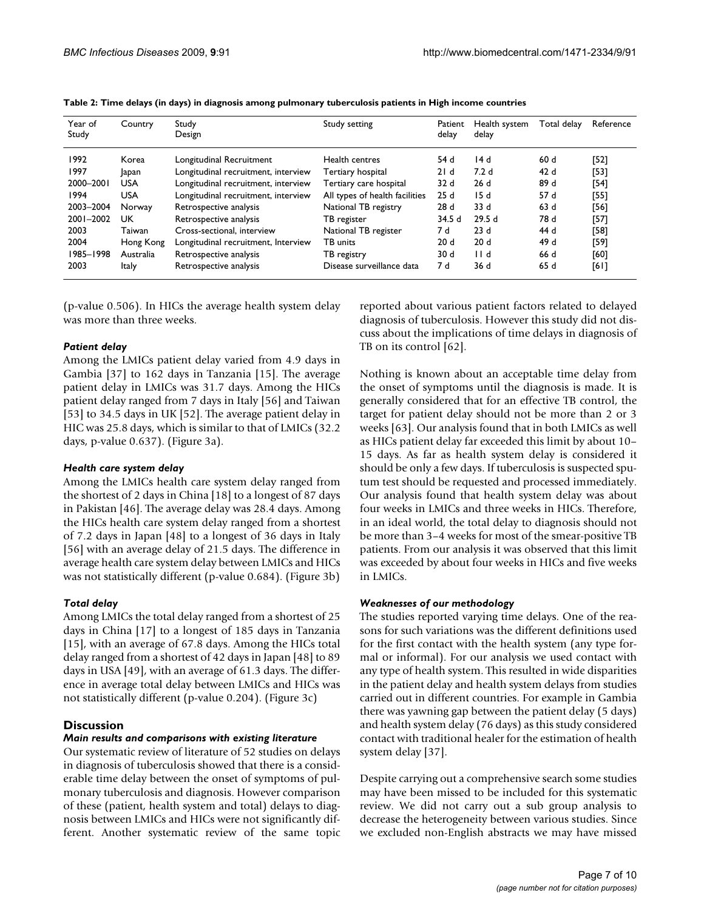| Year of<br>Study | Country    | Study<br>Design                     | Study setting                  | Patient<br>delay | Health system<br>delay | Total delay | Reference |
|------------------|------------|-------------------------------------|--------------------------------|------------------|------------------------|-------------|-----------|
| 1992             | Korea      | Longitudinal Recruitment            | Health centres                 | 54 d             | 14 d                   | 60 d        | [52]      |
| 1997             | Japan      | Longitudinal recruitment, interview | Tertiary hospital              | 21d              | 7.2d                   | 42d         | [53]      |
| 2000-2001        | <b>USA</b> | Longitudinal recruitment, interview | Tertiary care hospital         | 32 d             | 26d                    | 89 d        | [54]      |
| 1994             | USA        | Longitudinal recruitment, interview | All types of health facilities | 25d              | 15 d                   | 57 d        | $[55]$    |
| 2003-2004        | Norway     | Retrospective analysis              | National TB registry           | 28d              | 33 d                   | 63d         | [56]      |
| 2001-2002        | UK         | Retrospective analysis              | TB register                    | 34.5 d           | 29.5d                  | 78 d        | [57]      |
| 2003             | Taiwan     | Cross-sectional, interview          | National TB register           | 7 d              | 23d                    | 44 d        | [58]      |
| 2004             | Hong Kong  | Longitudinal recruitment, Interview | <b>TB</b> units                | 20d              | 20d                    | 49 d        | [59]      |
| 1985-1998        | Australia  | Retrospective analysis              | TB registry                    | 30 d             | II d                   | 66 d        | [60]      |
| 2003             | ltaly      | Retrospective analysis              | Disease surveillance data      | 7 d              | 36 d                   | 65 d        | [6]       |

**Table 2: Time delays (in days) in diagnosis among pulmonary tuberculosis patients in High income countries**

(p-value 0.506). In HICs the average health system delay was more than three weeks.

#### *Patient delay*

Among the LMICs patient delay varied from 4.9 days in Gambia [37] to 162 days in Tanzania [15]. The average patient delay in LMICs was 31.7 days. Among the HICs patient delay ranged from 7 days in Italy [56] and Taiwan [53] to 34.5 days in UK [52]. The average patient delay in HIC was 25.8 days, which is similar to that of LMICs (32.2 days, p-value 0.637). (Figure 3a).

## *Health care system delay*

Among the LMICs health care system delay ranged from the shortest of 2 days in China [18] to a longest of 87 days in Pakistan [46]. The average delay was 28.4 days. Among the HICs health care system delay ranged from a shortest of 7.2 days in Japan [48] to a longest of 36 days in Italy [56] with an average delay of 21.5 days. The difference in average health care system delay between LMICs and HICs was not statistically different (p-value 0.684). (Figure 3b)

## *Total delay*

Among LMICs the total delay ranged from a shortest of 25 days in China [17] to a longest of 185 days in Tanzania [15], with an average of 67.8 days. Among the HICs total delay ranged from a shortest of 42 days in Japan [48] to 89 days in USA [49], with an average of 61.3 days. The difference in average total delay between LMICs and HICs was not statistically different (p-value 0.204). (Figure 3c)

## **Discussion**

#### *Main results and comparisons with existing literature*

Our systematic review of literature of 52 studies on delays in diagnosis of tuberculosis showed that there is a considerable time delay between the onset of symptoms of pulmonary tuberculosis and diagnosis. However comparison of these (patient, health system and total) delays to diagnosis between LMICs and HICs were not significantly different. Another systematic review of the same topic reported about various patient factors related to delayed diagnosis of tuberculosis. However this study did not discuss about the implications of time delays in diagnosis of TB on its control [62].

Nothing is known about an acceptable time delay from the onset of symptoms until the diagnosis is made. It is generally considered that for an effective TB control, the target for patient delay should not be more than 2 or 3 weeks [63]. Our analysis found that in both LMICs as well as HICs patient delay far exceeded this limit by about 10– 15 days. As far as health system delay is considered it should be only a few days. If tuberculosis is suspected sputum test should be requested and processed immediately. Our analysis found that health system delay was about four weeks in LMICs and three weeks in HICs. Therefore, in an ideal world, the total delay to diagnosis should not be more than 3–4 weeks for most of the smear-positive TB patients. From our analysis it was observed that this limit was exceeded by about four weeks in HICs and five weeks in LMICs.

## *Weaknesses of our methodology*

The studies reported varying time delays. One of the reasons for such variations was the different definitions used for the first contact with the health system (any type formal or informal). For our analysis we used contact with any type of health system. This resulted in wide disparities in the patient delay and health system delays from studies carried out in different countries. For example in Gambia there was yawning gap between the patient delay (5 days) and health system delay (76 days) as this study considered contact with traditional healer for the estimation of health system delay [37].

Despite carrying out a comprehensive search some studies may have been missed to be included for this systematic review. We did not carry out a sub group analysis to decrease the heterogeneity between various studies. Since we excluded non-English abstracts we may have missed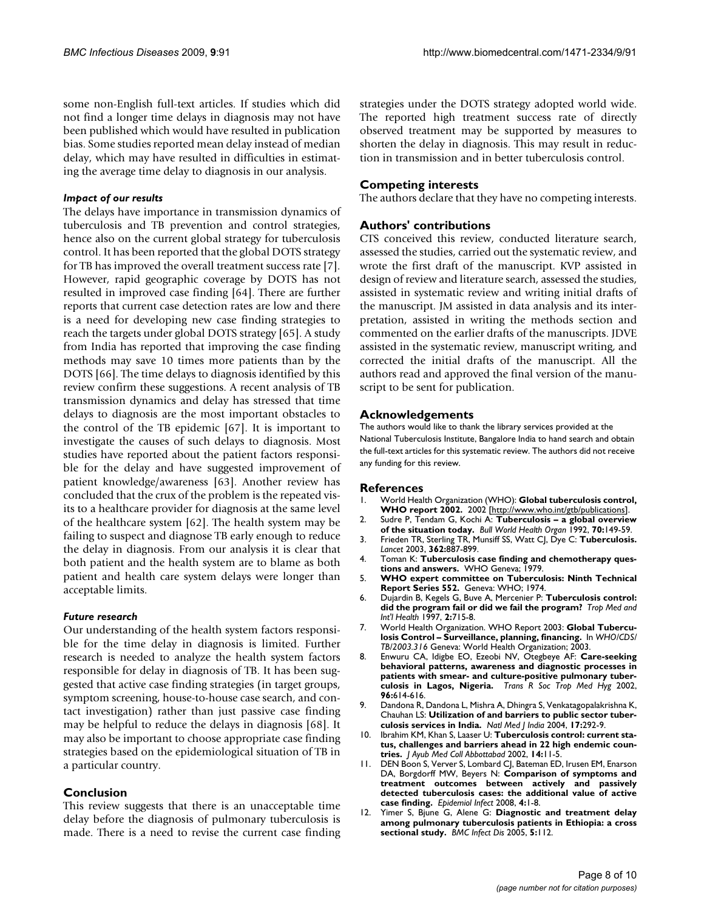some non-English full-text articles. If studies which did not find a longer time delays in diagnosis may not have been published which would have resulted in publication bias. Some studies reported mean delay instead of median delay, which may have resulted in difficulties in estimating the average time delay to diagnosis in our analysis.

#### *Impact of our results*

The delays have importance in transmission dynamics of tuberculosis and TB prevention and control strategies, hence also on the current global strategy for tuberculosis control. It has been reported that the global DOTS strategy for TB has improved the overall treatment success rate [7]. However, rapid geographic coverage by DOTS has not resulted in improved case finding [64]. There are further reports that current case detection rates are low and there is a need for developing new case finding strategies to reach the targets under global DOTS strategy [65]. A study from India has reported that improving the case finding methods may save 10 times more patients than by the DOTS [66]. The time delays to diagnosis identified by this review confirm these suggestions. A recent analysis of TB transmission dynamics and delay has stressed that time delays to diagnosis are the most important obstacles to the control of the TB epidemic [67]. It is important to investigate the causes of such delays to diagnosis. Most studies have reported about the patient factors responsible for the delay and have suggested improvement of patient knowledge/awareness [63]. Another review has concluded that the crux of the problem is the repeated visits to a healthcare provider for diagnosis at the same level of the healthcare system [62]. The health system may be failing to suspect and diagnose TB early enough to reduce the delay in diagnosis. From our analysis it is clear that both patient and the health system are to blame as both patient and health care system delays were longer than acceptable limits.

#### *Future research*

Our understanding of the health system factors responsible for the time delay in diagnosis is limited. Further research is needed to analyze the health system factors responsible for delay in diagnosis of TB. It has been suggested that active case finding strategies (in target groups, symptom screening, house-to-house case search, and contact investigation) rather than just passive case finding may be helpful to reduce the delays in diagnosis [68]. It may also be important to choose appropriate case finding strategies based on the epidemiological situation of TB in a particular country.

#### **Conclusion**

This review suggests that there is an unacceptable time delay before the diagnosis of pulmonary tuberculosis is made. There is a need to revise the current case finding strategies under the DOTS strategy adopted world wide. The reported high treatment success rate of directly observed treatment may be supported by measures to shorten the delay in diagnosis. This may result in reduction in transmission and in better tuberculosis control.

#### **Competing interests**

The authors declare that they have no competing interests.

#### **Authors' contributions**

CTS conceived this review, conducted literature search, assessed the studies, carried out the systematic review, and wrote the first draft of the manuscript. KVP assisted in design of review and literature search, assessed the studies, assisted in systematic review and writing initial drafts of the manuscript. JM assisted in data analysis and its interpretation, assisted in writing the methods section and commented on the earlier drafts of the manuscripts. JDVE assisted in the systematic review, manuscript writing, and corrected the initial drafts of the manuscript. All the authors read and approved the final version of the manuscript to be sent for publication.

#### **Acknowledgements**

The authors would like to thank the library services provided at the National Tuberculosis Institute, Bangalore India to hand search and obtain the full-text articles for this systematic review. The authors did not receive any funding for this review.

#### **References**

- 1. World Health Organization (WHO): **Global tuberculosis control,** WHO report 2002. 2002 [[http://www.who.int/gtb/publications\]](http://www.who.int/gtb/publications).
- 2. Sudre P, Tendam G, Kochi A: **[Tuberculosis a global overview](http://www.ncbi.nlm.nih.gov/entrez/query.fcgi?cmd=Retrieve&db=PubMed&dopt=Abstract&list_uids=1600578) [of the situation today.](http://www.ncbi.nlm.nih.gov/entrez/query.fcgi?cmd=Retrieve&db=PubMed&dopt=Abstract&list_uids=1600578)** *Bull World Health Organ* 1992, **70:**149-59.
- 3. Frieden TR, Sterling TR, Munsiff SS, Watt CJ, Dye C: **[Tuberculosis.](http://www.ncbi.nlm.nih.gov/entrez/query.fcgi?cmd=Retrieve&db=PubMed&dopt=Abstract&list_uids=13678977)** *Lancet* 2003, **362:**887-899.
- 4. Toman K: **Tuberculosis case finding and chemotherapy ques**tions and answers. WHO Geneva; 1979.
- 5. **WHO expert committee on Tuberculosis: Ninth Technical Report Series 552.** Geneva: WHO; 1974.
- 6. Dujardin B, Kegels G, Buve A, Mercenier P: **Tuberculosis control: did the program fail or did we fail the program?** *Trop Med and Int'l Health* 1997, **2:**715-8.
- 7. World Health Organization. WHO Report 2003: **Global Tuberculosis Control – Surveillance, planning, financing.** In *WHO/CDS/ TB/2003.316* Geneva: World Health Organization; 2003.
- 8. Enwuru CA, Idigbe EO, Ezeobi NV, Otegbeye AF: **[Care-seeking](http://www.ncbi.nlm.nih.gov/entrez/query.fcgi?cmd=Retrieve&db=PubMed&dopt=Abstract&list_uids=12625134) [behavioral patterns, awareness and diagnostic processes in](http://www.ncbi.nlm.nih.gov/entrez/query.fcgi?cmd=Retrieve&db=PubMed&dopt=Abstract&list_uids=12625134) patients with smear- and culture-positive pulmonary tuber[culosis in Lagos, Nigeria.](http://www.ncbi.nlm.nih.gov/entrez/query.fcgi?cmd=Retrieve&db=PubMed&dopt=Abstract&list_uids=12625134)** *Trans R Soc Trop Med Hyg* 2002, **96:**614-616.
- 9. Dandona R, Dandona L, Mishra A, Dhingra S, Venkatagopalakrishna K, Chauhan LS: **[Utilization of and barriers to public sector tuber](http://www.ncbi.nlm.nih.gov/entrez/query.fcgi?cmd=Retrieve&db=PubMed&dopt=Abstract&list_uids=15736548)[culosis services in India.](http://www.ncbi.nlm.nih.gov/entrez/query.fcgi?cmd=Retrieve&db=PubMed&dopt=Abstract&list_uids=15736548)** *Natl Med J India* 2004, **17:**292-9.
- 10. Ibrahim KM, Khan S, Laaser U: **[Tuberculosis control: current sta](http://www.ncbi.nlm.nih.gov/entrez/query.fcgi?cmd=Retrieve&db=PubMed&dopt=Abstract&list_uids=12688094)[tus, challenges and barriers ahead in 22 high endemic coun](http://www.ncbi.nlm.nih.gov/entrez/query.fcgi?cmd=Retrieve&db=PubMed&dopt=Abstract&list_uids=12688094)[tries.](http://www.ncbi.nlm.nih.gov/entrez/query.fcgi?cmd=Retrieve&db=PubMed&dopt=Abstract&list_uids=12688094)** *J Ayub Med Coll Abbottabad* 2002, **14:**11-5.
- 11. DEN Boon S, Verver S, Lombard CJ, Bateman ED, Irusen EM, Enarson DA, Borgdorff MW, Beyers N: **Comparison of symptoms and treatment outcomes between actively and passively detected tuberculosis cases: the additional value of active case finding.** *Epidemiol Infect* 2008, **4:**1-8.
- 12. Yimer S, Bjune G, Alene G: **[Diagnostic and treatment delay](http://www.ncbi.nlm.nih.gov/entrez/query.fcgi?cmd=Retrieve&db=PubMed&dopt=Abstract&list_uids=16343350) [among pulmonary tuberculosis patients in Ethiopia: a cross](http://www.ncbi.nlm.nih.gov/entrez/query.fcgi?cmd=Retrieve&db=PubMed&dopt=Abstract&list_uids=16343350) [sectional study.](http://www.ncbi.nlm.nih.gov/entrez/query.fcgi?cmd=Retrieve&db=PubMed&dopt=Abstract&list_uids=16343350)** *BMC Infect Dis* 2005, **5:**112.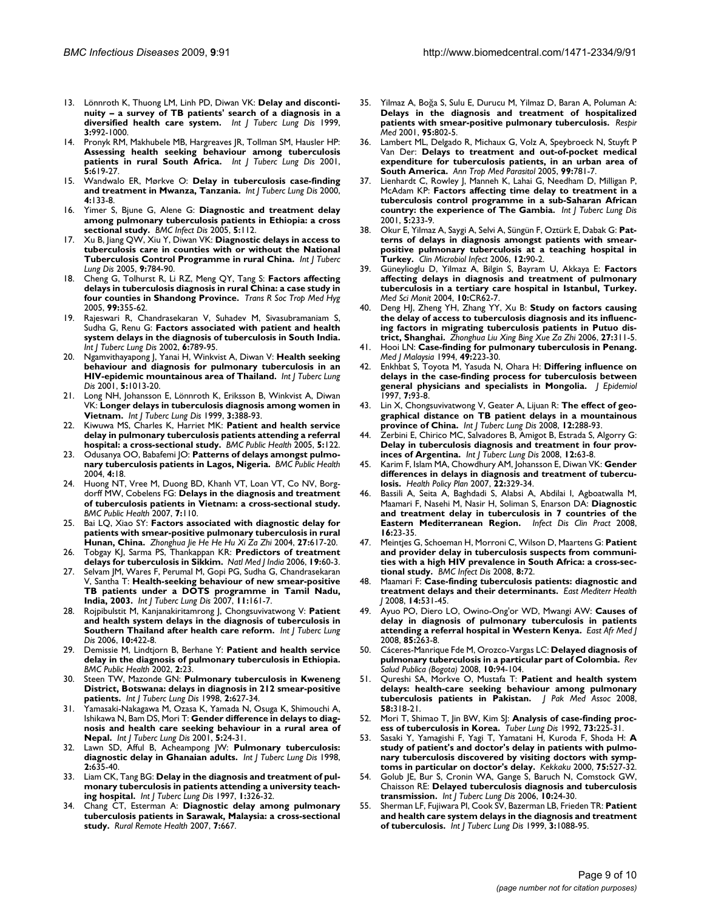- 13. Lönnroth K, Thuong LM, Linh PD, Diwan VK: **[Delay and disconti](http://www.ncbi.nlm.nih.gov/entrez/query.fcgi?cmd=Retrieve&db=PubMed&dopt=Abstract&list_uids=10587321)[nuity – a survey of TB patients' search of a diagnosis in a](http://www.ncbi.nlm.nih.gov/entrez/query.fcgi?cmd=Retrieve&db=PubMed&dopt=Abstract&list_uids=10587321) [diversified health care system.](http://www.ncbi.nlm.nih.gov/entrez/query.fcgi?cmd=Retrieve&db=PubMed&dopt=Abstract&list_uids=10587321)** *Int J Tuberc Lung Dis* 1999, **3:**992-1000.
- 14. Pronyk RM, Makhubele MB, Hargreaves JR, Tollman SM, Hausler HP: **[Assessing health seeking behaviour among tuberculosis](http://www.ncbi.nlm.nih.gov/entrez/query.fcgi?cmd=Retrieve&db=PubMed&dopt=Abstract&list_uids=11467368) [patients in rural South Africa.](http://www.ncbi.nlm.nih.gov/entrez/query.fcgi?cmd=Retrieve&db=PubMed&dopt=Abstract&list_uids=11467368)** *Int J Tuberc Lung Dis* 2001, **5:**619-27.
- 15. Wandwalo ER, Mørkve O: **[Delay in tuberculosis case-finding](http://www.ncbi.nlm.nih.gov/entrez/query.fcgi?cmd=Retrieve&db=PubMed&dopt=Abstract&list_uids=10694091) [and treatment in Mwanza, Tanzania.](http://www.ncbi.nlm.nih.gov/entrez/query.fcgi?cmd=Retrieve&db=PubMed&dopt=Abstract&list_uids=10694091)** *Int J Tuberc Lung Dis* 2000, **4:**133-8.
- 16. Yimer S, Bjune G, Alene G: **[Diagnostic and treatment delay](http://www.ncbi.nlm.nih.gov/entrez/query.fcgi?cmd=Retrieve&db=PubMed&dopt=Abstract&list_uids=16343350) [among pulmonary tuberculosis patients in Ethiopia: a cross](http://www.ncbi.nlm.nih.gov/entrez/query.fcgi?cmd=Retrieve&db=PubMed&dopt=Abstract&list_uids=16343350) [sectional study.](http://www.ncbi.nlm.nih.gov/entrez/query.fcgi?cmd=Retrieve&db=PubMed&dopt=Abstract&list_uids=16343350)** *BMC Infect Dis* 2005, **5:**112.
- 17. Xu B, Jiang QW, Xiu Y, Diwan VK: **[Diagnostic delays in access to](http://www.ncbi.nlm.nih.gov/entrez/query.fcgi?cmd=Retrieve&db=PubMed&dopt=Abstract&list_uids=16013775) [tuberculosis care in counties with or without the National](http://www.ncbi.nlm.nih.gov/entrez/query.fcgi?cmd=Retrieve&db=PubMed&dopt=Abstract&list_uids=16013775) [Tuberculosis Control Programme in rural China.](http://www.ncbi.nlm.nih.gov/entrez/query.fcgi?cmd=Retrieve&db=PubMed&dopt=Abstract&list_uids=16013775)** *Int J Tuberc Lung Dis* 2005, **9:**784-90.
- 18. Cheng G, Tolhurst R, Li RZ, Meng QY, Tang S: **[Factors affecting](http://www.ncbi.nlm.nih.gov/entrez/query.fcgi?cmd=Retrieve&db=PubMed&dopt=Abstract&list_uids=15780342) [delays in tuberculosis diagnosis in rural China: a case study in](http://www.ncbi.nlm.nih.gov/entrez/query.fcgi?cmd=Retrieve&db=PubMed&dopt=Abstract&list_uids=15780342) [four counties in Shandong Province.](http://www.ncbi.nlm.nih.gov/entrez/query.fcgi?cmd=Retrieve&db=PubMed&dopt=Abstract&list_uids=15780342)** *Trans R Soc Trop Med Hyg* 2005, **99:**355-62.
- 19. Rajeswari R, Chandrasekaran V, Suhadev M, Sivasubramaniam S, Sudha G, Renu G: **[Factors associated with patient and health](http://www.ncbi.nlm.nih.gov/entrez/query.fcgi?cmd=Retrieve&db=PubMed&dopt=Abstract&list_uids=12234134) [system delays in the diagnosis of tuberculosis in South India.](http://www.ncbi.nlm.nih.gov/entrez/query.fcgi?cmd=Retrieve&db=PubMed&dopt=Abstract&list_uids=12234134)** *Int J Tuberc Lung Dis* 2002, **6:**789-95.
- 20. Ngamvithayapong J, Yanai H, Winkvist A, Diwan V: **[Health seeking](http://www.ncbi.nlm.nih.gov/entrez/query.fcgi?cmd=Retrieve&db=PubMed&dopt=Abstract&list_uids=11716337) [behaviour and diagnosis for pulmonary tuberculosis in an](http://www.ncbi.nlm.nih.gov/entrez/query.fcgi?cmd=Retrieve&db=PubMed&dopt=Abstract&list_uids=11716337) [HIV-epidemic mountainous area of Thailand.](http://www.ncbi.nlm.nih.gov/entrez/query.fcgi?cmd=Retrieve&db=PubMed&dopt=Abstract&list_uids=11716337)** *Int J Tuberc Lung Dis* 2001, **5:**1013-20.
- 21. Long NH, Johansson E, Lönnroth K, Eriksson B, Winkvist A, Diwan VK: **[Longer delays in tuberculosis diagnosis among women in](http://www.ncbi.nlm.nih.gov/entrez/query.fcgi?cmd=Retrieve&db=PubMed&dopt=Abstract&list_uids=10331727) [Vietnam.](http://www.ncbi.nlm.nih.gov/entrez/query.fcgi?cmd=Retrieve&db=PubMed&dopt=Abstract&list_uids=10331727)** *Int J Tuberc Lung Dis* 1999, **3:**388-93.
- 22. Kiwuwa MS, Charles K, Harriet MK: **[Patient and health service](http://www.ncbi.nlm.nih.gov/entrez/query.fcgi?cmd=Retrieve&db=PubMed&dopt=Abstract&list_uids=16307685) [delay in pulmonary tuberculosis patients attending a referral](http://www.ncbi.nlm.nih.gov/entrez/query.fcgi?cmd=Retrieve&db=PubMed&dopt=Abstract&list_uids=16307685) [hospital: a cross-sectional study.](http://www.ncbi.nlm.nih.gov/entrez/query.fcgi?cmd=Retrieve&db=PubMed&dopt=Abstract&list_uids=16307685)** *BMC Public Health* 2005, **5:**122.
- 23. Odusanya OO, Babafemi JO: **[Patterns of delays amongst pulmo](http://www.ncbi.nlm.nih.gov/entrez/query.fcgi?cmd=Retrieve&db=PubMed&dopt=Abstract&list_uids=15169548)[nary tuberculosis patients in Lagos, Nigeria.](http://www.ncbi.nlm.nih.gov/entrez/query.fcgi?cmd=Retrieve&db=PubMed&dopt=Abstract&list_uids=15169548)** *BMC Public Health* 2004, **4:**18.
- 24. Huong NT, Vree M, Duong BD, Khanh VT, Loan VT, Co NV, Borgdorff MW, Cobelens FG: **[Delays in the diagnosis and treatment](http://www.ncbi.nlm.nih.gov/entrez/query.fcgi?cmd=Retrieve&db=PubMed&dopt=Abstract&list_uids=17567521) [of tuberculosis patients in Vietnam: a cross-sectional study.](http://www.ncbi.nlm.nih.gov/entrez/query.fcgi?cmd=Retrieve&db=PubMed&dopt=Abstract&list_uids=17567521)** *BMC Public Health* 2007, **7:**110.
- 25. Bai LQ, Xiao SY: **[Factors associated with diagnostic delay for](http://www.ncbi.nlm.nih.gov/entrez/query.fcgi?cmd=Retrieve&db=PubMed&dopt=Abstract&list_uids=15498275) [patients with smear-positive pulmonary tuberculosis in rural](http://www.ncbi.nlm.nih.gov/entrez/query.fcgi?cmd=Retrieve&db=PubMed&dopt=Abstract&list_uids=15498275) [Hunan, China.](http://www.ncbi.nlm.nih.gov/entrez/query.fcgi?cmd=Retrieve&db=PubMed&dopt=Abstract&list_uids=15498275)** *Zhonghua Jie He He Hu Xi Za Zhi* 2004, **27:**617-20.
- 26. Tobgay KJ, Sarma PS, Thankappan KR: **[Predictors of treatment](http://www.ncbi.nlm.nih.gov/entrez/query.fcgi?cmd=Retrieve&db=PubMed&dopt=Abstract&list_uids=16756190) [delays for tuberculosis in Sikkim.](http://www.ncbi.nlm.nih.gov/entrez/query.fcgi?cmd=Retrieve&db=PubMed&dopt=Abstract&list_uids=16756190)** *Natl Med J India* 2006, **19:**60-3.
- 27. Selvam JM, Wares F, Perumal M, Gopi PG, Sudha G, Chandrasekaran V, Santha T: **[Health-seeking behaviour of new smear-positive](http://www.ncbi.nlm.nih.gov/entrez/query.fcgi?cmd=Retrieve&db=PubMed&dopt=Abstract&list_uids=17263286) [TB patients under a DOTS programme in Tamil Nadu,](http://www.ncbi.nlm.nih.gov/entrez/query.fcgi?cmd=Retrieve&db=PubMed&dopt=Abstract&list_uids=17263286) [India, 2003.](http://www.ncbi.nlm.nih.gov/entrez/query.fcgi?cmd=Retrieve&db=PubMed&dopt=Abstract&list_uids=17263286)** *Int J Tuberc Lung Dis* 2007, **11:**161-7.
- 28. Rojpibulstit M, Kanjanakiritamrong J, Chongsuvivatwong V: **[Patient](http://www.ncbi.nlm.nih.gov/entrez/query.fcgi?cmd=Retrieve&db=PubMed&dopt=Abstract&list_uids=16602407) [and health system delays in the diagnosis of tuberculosis in](http://www.ncbi.nlm.nih.gov/entrez/query.fcgi?cmd=Retrieve&db=PubMed&dopt=Abstract&list_uids=16602407) [Southern Thailand after health care reform.](http://www.ncbi.nlm.nih.gov/entrez/query.fcgi?cmd=Retrieve&db=PubMed&dopt=Abstract&list_uids=16602407)** *Int J Tuberc Lung Dis* 2006, **10:**422-8.
- 29. Demissie M, Lindtjorn B, Berhane Y: **[Patient and health service](http://www.ncbi.nlm.nih.gov/entrez/query.fcgi?cmd=Retrieve&db=PubMed&dopt=Abstract&list_uids=12296975) [delay in the diagnosis of pulmonary tuberculosis in Ethiopia.](http://www.ncbi.nlm.nih.gov/entrez/query.fcgi?cmd=Retrieve&db=PubMed&dopt=Abstract&list_uids=12296975)** *BMC Public Health* 2002, **2:**23.
- 30. Steen TW, Mazonde GN: **[Pulmonary tuberculosis in Kweneng](http://www.ncbi.nlm.nih.gov/entrez/query.fcgi?cmd=Retrieve&db=PubMed&dopt=Abstract&list_uids=9712276) [District, Botswana: delays in diagnosis in 212 smear-positive](http://www.ncbi.nlm.nih.gov/entrez/query.fcgi?cmd=Retrieve&db=PubMed&dopt=Abstract&list_uids=9712276) [patients.](http://www.ncbi.nlm.nih.gov/entrez/query.fcgi?cmd=Retrieve&db=PubMed&dopt=Abstract&list_uids=9712276)** *Int J Tuberc Lung Dis* 1998, **2:**627-34.
- 31. Yamasaki-Nakagawa M, Ozasa K, Yamada N, Osuga K, Shimouchi A, Ishikawa N, Bam DS, Mori T: **[Gender difference in delays to diag](http://www.ncbi.nlm.nih.gov/entrez/query.fcgi?cmd=Retrieve&db=PubMed&dopt=Abstract&list_uids=11263512)[nosis and health care seeking behaviour in a rural area of](http://www.ncbi.nlm.nih.gov/entrez/query.fcgi?cmd=Retrieve&db=PubMed&dopt=Abstract&list_uids=11263512) [Nepal.](http://www.ncbi.nlm.nih.gov/entrez/query.fcgi?cmd=Retrieve&db=PubMed&dopt=Abstract&list_uids=11263512)** *Int J Tuberc Lung Dis* 2001, **5:**24-31.
- 32. Lawn SD, Afful B, Acheampong JW: **[Pulmonary tuberculosis:](http://www.ncbi.nlm.nih.gov/entrez/query.fcgi?cmd=Retrieve&db=PubMed&dopt=Abstract&list_uids=9712277) [diagnostic delay in Ghanaian adults.](http://www.ncbi.nlm.nih.gov/entrez/query.fcgi?cmd=Retrieve&db=PubMed&dopt=Abstract&list_uids=9712277)** *Int J Tuberc Lung Dis* 1998, **2:**635-40.
- 33. Liam CK, Tang BG: **[Delay in the diagnosis and treatment of pul](http://www.ncbi.nlm.nih.gov/entrez/query.fcgi?cmd=Retrieve&db=PubMed&dopt=Abstract&list_uids=9432388)[monary tuberculosis in patients attending a university teach](http://www.ncbi.nlm.nih.gov/entrez/query.fcgi?cmd=Retrieve&db=PubMed&dopt=Abstract&list_uids=9432388)[ing hospital.](http://www.ncbi.nlm.nih.gov/entrez/query.fcgi?cmd=Retrieve&db=PubMed&dopt=Abstract&list_uids=9432388)** *Int J Tuberc Lung Dis* 1997, **1:**326-32.
- 34. Chang CT, Esterman A: **[Diagnostic delay among pulmonary](http://www.ncbi.nlm.nih.gov/entrez/query.fcgi?cmd=Retrieve&db=PubMed&dopt=Abstract&list_uids=17511524) [tuberculosis patients in Sarawak, Malaysia: a cross-sectional](http://www.ncbi.nlm.nih.gov/entrez/query.fcgi?cmd=Retrieve&db=PubMed&dopt=Abstract&list_uids=17511524) [study.](http://www.ncbi.nlm.nih.gov/entrez/query.fcgi?cmd=Retrieve&db=PubMed&dopt=Abstract&list_uids=17511524)** *Rural Remote Health* 2007, **7:**667.
- 35. Yilmaz A, Boğa S, Sulu E, Durucu M, Yilmaz D, Baran A, Poluman A: **[Delays in the diagnosis and treatment of hospitalized](http://www.ncbi.nlm.nih.gov/entrez/query.fcgi?cmd=Retrieve&db=PubMed&dopt=Abstract&list_uids=11601745) [patients with smear-positive pulmonary tuberculosis.](http://www.ncbi.nlm.nih.gov/entrez/query.fcgi?cmd=Retrieve&db=PubMed&dopt=Abstract&list_uids=11601745)** *Respir Med* 2001, **95:**802-5.
- 36. Lambert ML, Delgado R, Michaux G, Volz A, Speybroeck N, Stuyft P Van Der: **[Delays to treatment and out-of-pocket medical](http://www.ncbi.nlm.nih.gov/entrez/query.fcgi?cmd=Retrieve&db=PubMed&dopt=Abstract&list_uids=16297291) [expenditure for tuberculosis patients, in an urban area of](http://www.ncbi.nlm.nih.gov/entrez/query.fcgi?cmd=Retrieve&db=PubMed&dopt=Abstract&list_uids=16297291) [South America.](http://www.ncbi.nlm.nih.gov/entrez/query.fcgi?cmd=Retrieve&db=PubMed&dopt=Abstract&list_uids=16297291)** *Ann Trop Med Parasitol* 2005, **99:**781-7.
- 37. Lienhardt C, Rowley J, Manneh K, Lahai G, Needham D, Milligan P, McAdam KP: **[Factors affecting time delay to treatment in a](http://www.ncbi.nlm.nih.gov/entrez/query.fcgi?cmd=Retrieve&db=PubMed&dopt=Abstract&list_uids=11326822) [tuberculosis control programme in a sub-Saharan African](http://www.ncbi.nlm.nih.gov/entrez/query.fcgi?cmd=Retrieve&db=PubMed&dopt=Abstract&list_uids=11326822) [country: the experience of The Gambia.](http://www.ncbi.nlm.nih.gov/entrez/query.fcgi?cmd=Retrieve&db=PubMed&dopt=Abstract&list_uids=11326822)** *Int J Tuberc Lung Dis* 2001, **5:**233-9.
- 38. Okur E, Yilmaz A, Saygi A, Selvi A, Süngün F, Oztürk E, Dabak G: **[Pat](http://www.ncbi.nlm.nih.gov/entrez/query.fcgi?cmd=Retrieve&db=PubMed&dopt=Abstract&list_uids=16460554)[terns of delays in diagnosis amongst patients with smear](http://www.ncbi.nlm.nih.gov/entrez/query.fcgi?cmd=Retrieve&db=PubMed&dopt=Abstract&list_uids=16460554)positive pulmonary tuberculosis at a teaching hospital in [Turkey.](http://www.ncbi.nlm.nih.gov/entrez/query.fcgi?cmd=Retrieve&db=PubMed&dopt=Abstract&list_uids=16460554)** *Clin Microbiol Infect* 2006, **12:**90-2.
- 39. Güneylioglu D, Yilmaz A, Bilgin S, Bayram U, Akkaya E: **[Factors](http://www.ncbi.nlm.nih.gov/entrez/query.fcgi?cmd=Retrieve&db=PubMed&dopt=Abstract&list_uids=14737045) [affecting delays in diagnosis and treatment of pulmonary](http://www.ncbi.nlm.nih.gov/entrez/query.fcgi?cmd=Retrieve&db=PubMed&dopt=Abstract&list_uids=14737045) tuberculosis in a tertiary care hospital in Istanbul, Turkey.** *Med Sci Monit* 2004, **10:**CR62-7.
- 40. Deng HJ, Zheng YH, Zhang YY, Xu B: **[Study on factors causing](http://www.ncbi.nlm.nih.gov/entrez/query.fcgi?cmd=Retrieve&db=PubMed&dopt=Abstract&list_uids=16875533) [the delay of access to tuberculosis diagnosis and its influenc](http://www.ncbi.nlm.nih.gov/entrez/query.fcgi?cmd=Retrieve&db=PubMed&dopt=Abstract&list_uids=16875533)ing factors in migrating tuberculosis patients in Putuo dis[trict, Shanghai.](http://www.ncbi.nlm.nih.gov/entrez/query.fcgi?cmd=Retrieve&db=PubMed&dopt=Abstract&list_uids=16875533)** *Zhonghua Liu Xing Bing Xue Za Zhi* 2006, **27:**311-5.
- 41. Hooi LN: **[Case-finding for pulmonary tuberculosis in Penang.](http://www.ncbi.nlm.nih.gov/entrez/query.fcgi?cmd=Retrieve&db=PubMed&dopt=Abstract&list_uids=7845270)** *Med J Malaysia* 1994, **49:**223-30.
- 42. Enkhbat S, Toyota M, Yasuda N, Ohara H: **[Differing influence on](http://www.ncbi.nlm.nih.gov/entrez/query.fcgi?cmd=Retrieve&db=PubMed&dopt=Abstract&list_uids=9255030) [delays in the case-finding process for tuberculosis between](http://www.ncbi.nlm.nih.gov/entrez/query.fcgi?cmd=Retrieve&db=PubMed&dopt=Abstract&list_uids=9255030) [general physicians and specialists in Mongolia.](http://www.ncbi.nlm.nih.gov/entrez/query.fcgi?cmd=Retrieve&db=PubMed&dopt=Abstract&list_uids=9255030)** *J Epidemiol* 1997, **7:**93-8.
- 43. Lin X, Chongsuvivatwong V, Geater A, Lijuan R: **[The effect of geo](http://www.ncbi.nlm.nih.gov/entrez/query.fcgi?cmd=Retrieve&db=PubMed&dopt=Abstract&list_uids=18284834)[graphical distance on TB patient delays in a mountainous](http://www.ncbi.nlm.nih.gov/entrez/query.fcgi?cmd=Retrieve&db=PubMed&dopt=Abstract&list_uids=18284834) [province of China.](http://www.ncbi.nlm.nih.gov/entrez/query.fcgi?cmd=Retrieve&db=PubMed&dopt=Abstract&list_uids=18284834)** *Int J Tuberc Lung Dis* 2008, **12:**288-93.
- 44. Zerbini E, Chirico MC, Salvadores B, Amigot B, Estrada S, Algorry G: **[Delay in tuberculosis diagnosis and treatment in four prov](http://www.ncbi.nlm.nih.gov/entrez/query.fcgi?cmd=Retrieve&db=PubMed&dopt=Abstract&list_uids=18173879)[inces of Argentina.](http://www.ncbi.nlm.nih.gov/entrez/query.fcgi?cmd=Retrieve&db=PubMed&dopt=Abstract&list_uids=18173879)** *Int J Tuberc Lung Dis* 2008, **12:**63-8.
- 45. Karim F, Islam MA, Chowdhury AM, Johansson E, Diwan VK: **[Gender](http://www.ncbi.nlm.nih.gov/entrez/query.fcgi?cmd=Retrieve&db=PubMed&dopt=Abstract&list_uids=17698889) [differences in delays in diagnosis and treatment of tubercu](http://www.ncbi.nlm.nih.gov/entrez/query.fcgi?cmd=Retrieve&db=PubMed&dopt=Abstract&list_uids=17698889)[losis.](http://www.ncbi.nlm.nih.gov/entrez/query.fcgi?cmd=Retrieve&db=PubMed&dopt=Abstract&list_uids=17698889)** *Health Policy Plan* 2007, **22:**329-34.
- 46. Bassili A, Seita A, Baghdadi S, Alabsi A, Abdilai I, Agboatwalla M, Maamari F, Nasehi M, Nasir H, Soliman S, Enarson DA: **Diagnostic and treatment delay in tuberculosis in 7 countries of the Eastern Mediterranean Region.** *Infect Dis Clin Pract* 2008, **16:**23-35.
- 47. Meintjes G, Schoeman H, Morroni C, Wilson D, Maartens G: **[Patient](http://www.ncbi.nlm.nih.gov/entrez/query.fcgi?cmd=Retrieve&db=PubMed&dopt=Abstract&list_uids=18501019) [and provider delay in tuberculosis suspects from communi](http://www.ncbi.nlm.nih.gov/entrez/query.fcgi?cmd=Retrieve&db=PubMed&dopt=Abstract&list_uids=18501019)ties with a high HIV prevalence in South Africa: a cross-sec[tional study.](http://www.ncbi.nlm.nih.gov/entrez/query.fcgi?cmd=Retrieve&db=PubMed&dopt=Abstract&list_uids=18501019)** *BMC Infect Dis* 2008, **8:**72.
- 48. Maamari F: **[Case-finding tuberculosis patients: diagnostic and](http://www.ncbi.nlm.nih.gov/entrez/query.fcgi?cmd=Retrieve&db=PubMed&dopt=Abstract&list_uids=18720617) [treatment delays and their determinants.](http://www.ncbi.nlm.nih.gov/entrez/query.fcgi?cmd=Retrieve&db=PubMed&dopt=Abstract&list_uids=18720617)** *East Mediterr Health J* 2008, **14:**531-45.
- 49. Ayuo PO, Diero LO, Owino-Ong'or WD, Mwangi AW: **[Causes of](http://www.ncbi.nlm.nih.gov/entrez/query.fcgi?cmd=Retrieve&db=PubMed&dopt=Abstract&list_uids=18817022) [delay in diagnosis of pulmonary tuberculosis in patients](http://www.ncbi.nlm.nih.gov/entrez/query.fcgi?cmd=Retrieve&db=PubMed&dopt=Abstract&list_uids=18817022) [attending a referral hospital in Western Kenya.](http://www.ncbi.nlm.nih.gov/entrez/query.fcgi?cmd=Retrieve&db=PubMed&dopt=Abstract&list_uids=18817022)** *East Afr Med J* 2008, **85:**263-8.
- 50. Cáceres-Manrique Fde M, Orozco-Vargas LC: **[Delayed diagnosis of](http://www.ncbi.nlm.nih.gov/entrez/query.fcgi?cmd=Retrieve&db=PubMed&dopt=Abstract&list_uids=18368222) [pulmonary tuberculosis in a particular part of Colombia.](http://www.ncbi.nlm.nih.gov/entrez/query.fcgi?cmd=Retrieve&db=PubMed&dopt=Abstract&list_uids=18368222)** *Rev Salud Publica (Bogota)* 2008, **10:**94-104.
- 51. Qureshi SA, Morkve O, Mustafa T: **[Patient and health system](http://www.ncbi.nlm.nih.gov/entrez/query.fcgi?cmd=Retrieve&db=PubMed&dopt=Abstract&list_uids=18988391) [delays: health-care seeking behaviour among pulmonary](http://www.ncbi.nlm.nih.gov/entrez/query.fcgi?cmd=Retrieve&db=PubMed&dopt=Abstract&list_uids=18988391) [tuberculosis patients in Pakistan.](http://www.ncbi.nlm.nih.gov/entrez/query.fcgi?cmd=Retrieve&db=PubMed&dopt=Abstract&list_uids=18988391)** *J Pak Med Assoc* 2008, **58:**318-21.
- 52. Mori T, Shimao T, Jin BW, Kim SJ: [Analysis of case-finding proc](http://www.ncbi.nlm.nih.gov/entrez/query.fcgi?cmd=Retrieve&db=PubMed&dopt=Abstract&list_uids=1477390)**[ess of tuberculosis in Korea.](http://www.ncbi.nlm.nih.gov/entrez/query.fcgi?cmd=Retrieve&db=PubMed&dopt=Abstract&list_uids=1477390)** *Tuber Lung Dis* 1992, **73:**225-31.
- 53. Sasaki Y, Yamagishi F, Yagi T, Yamatani H, Kuroda F, Shoda H: **[A](http://www.ncbi.nlm.nih.gov/entrez/query.fcgi?cmd=Retrieve&db=PubMed&dopt=Abstract&list_uids=11068369) [study of patient's and doctor's delay in patients with pulmo](http://www.ncbi.nlm.nih.gov/entrez/query.fcgi?cmd=Retrieve&db=PubMed&dopt=Abstract&list_uids=11068369)nary tuberculosis discovered by visiting doctors with symp[toms in particular on doctor's delay.](http://www.ncbi.nlm.nih.gov/entrez/query.fcgi?cmd=Retrieve&db=PubMed&dopt=Abstract&list_uids=11068369)** *Kekkaku* 2000, **75:**527-32.
- 54. Golub JE, Bur S, Cronin WA, Gange S, Baruch N, Comstock GW, Chaisson RE: **[Delayed tuberculosis diagnosis and tuberculosis](http://www.ncbi.nlm.nih.gov/entrez/query.fcgi?cmd=Retrieve&db=PubMed&dopt=Abstract&list_uids=16466033) [transmission.](http://www.ncbi.nlm.nih.gov/entrez/query.fcgi?cmd=Retrieve&db=PubMed&dopt=Abstract&list_uids=16466033)** *Int J Tuberc Lung Dis* 2006, **10:**24-30.
- 55. Sherman LF, Fujiwara PI, Cook SV, Bazerman LB, Frieden TR: **[Patient](http://www.ncbi.nlm.nih.gov/entrez/query.fcgi?cmd=Retrieve&db=PubMed&dopt=Abstract&list_uids=10599012) [and health care system delays in the diagnosis and treatment](http://www.ncbi.nlm.nih.gov/entrez/query.fcgi?cmd=Retrieve&db=PubMed&dopt=Abstract&list_uids=10599012) [of tuberculosis.](http://www.ncbi.nlm.nih.gov/entrez/query.fcgi?cmd=Retrieve&db=PubMed&dopt=Abstract&list_uids=10599012)** *Int J Tuberc Lung Dis* 1999, **3:**1088-95.